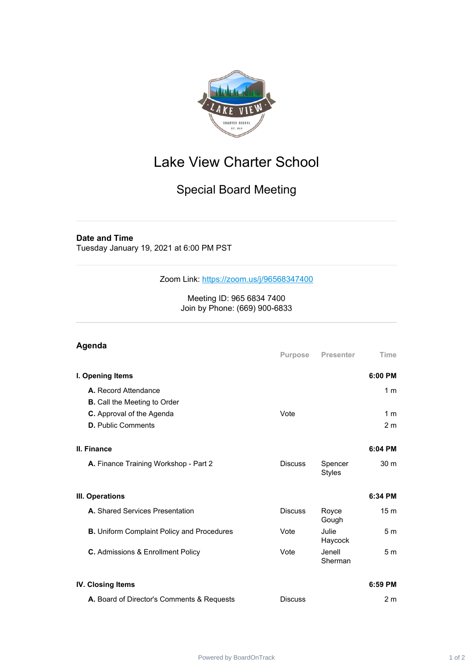

## Lake View Charter School

## Special Board Meeting

## **Date and Time**

Tuesday January 19, 2021 at 6:00 PM PST

Zoom Link: <https://zoom.us/j/96568347400>

Meeting ID: 965 6834 7400 Join by Phone: (669) 900-6833

| Agenda                                            | Purpose        | <b>Presenter</b>         | Time            |
|---------------------------------------------------|----------------|--------------------------|-----------------|
| I. Opening Items                                  |                |                          | 6:00 PM         |
| A. Record Attendance                              |                |                          | 1 <sub>m</sub>  |
| <b>B.</b> Call the Meeting to Order               |                |                          |                 |
| <b>C.</b> Approval of the Agenda                  | Vote           |                          | 1 <sub>m</sub>  |
| <b>D.</b> Public Comments                         |                |                          | 2 <sub>m</sub>  |
| II. Finance                                       |                |                          | 6:04 PM         |
| A. Finance Training Workshop - Part 2             | <b>Discuss</b> | Spencer<br><b>Styles</b> | 30 <sub>m</sub> |
| III. Operations                                   |                |                          | 6:34 PM         |
| A. Shared Services Presentation                   | <b>Discuss</b> | Royce<br>Gough           | 15 <sub>m</sub> |
| <b>B.</b> Uniform Complaint Policy and Procedures | Vote           | Julie<br>Haycock         | 5 <sub>m</sub>  |
| C. Admissions & Enrollment Policy                 | Vote           | Jenell<br>Sherman        | 5 <sub>m</sub>  |
| <b>IV. Closing Items</b>                          |                |                          | 6:59 PM         |
| A. Board of Director's Comments & Requests        | <b>Discuss</b> |                          | 2 <sub>m</sub>  |